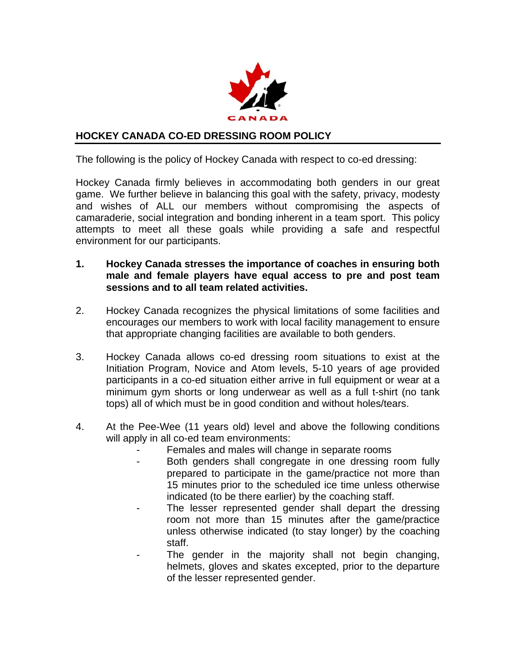

## **HOCKEY CANADA CO-ED DRESSING ROOM POLICY**

The following is the policy of Hockey Canada with respect to co-ed dressing:

Hockey Canada firmly believes in accommodating both genders in our great game. We further believe in balancing this goal with the safety, privacy, modesty and wishes of ALL our members without compromising the aspects of camaraderie, social integration and bonding inherent in a team sport. This policy attempts to meet all these goals while providing a safe and respectful environment for our participants.

- **1. Hockey Canada stresses the importance of coaches in ensuring both male and female players have equal access to pre and post team sessions and to all team related activities.**
- 2. Hockey Canada recognizes the physical limitations of some facilities and encourages our members to work with local facility management to ensure that appropriate changing facilities are available to both genders.
- 3. Hockey Canada allows co-ed dressing room situations to exist at the Initiation Program, Novice and Atom levels, 5-10 years of age provided participants in a co-ed situation either arrive in full equipment or wear at a minimum gym shorts or long underwear as well as a full t-shirt (no tank tops) all of which must be in good condition and without holes/tears.
- 4. At the Pee-Wee (11 years old) level and above the following conditions will apply in all co-ed team environments:
	- Females and males will change in separate rooms
	- Both genders shall congregate in one dressing room fully prepared to participate in the game/practice not more than 15 minutes prior to the scheduled ice time unless otherwise indicated (to be there earlier) by the coaching staff.
	- The lesser represented gender shall depart the dressing room not more than 15 minutes after the game/practice unless otherwise indicated (to stay longer) by the coaching staff.
	- The gender in the majority shall not begin changing, helmets, gloves and skates excepted, prior to the departure of the lesser represented gender.